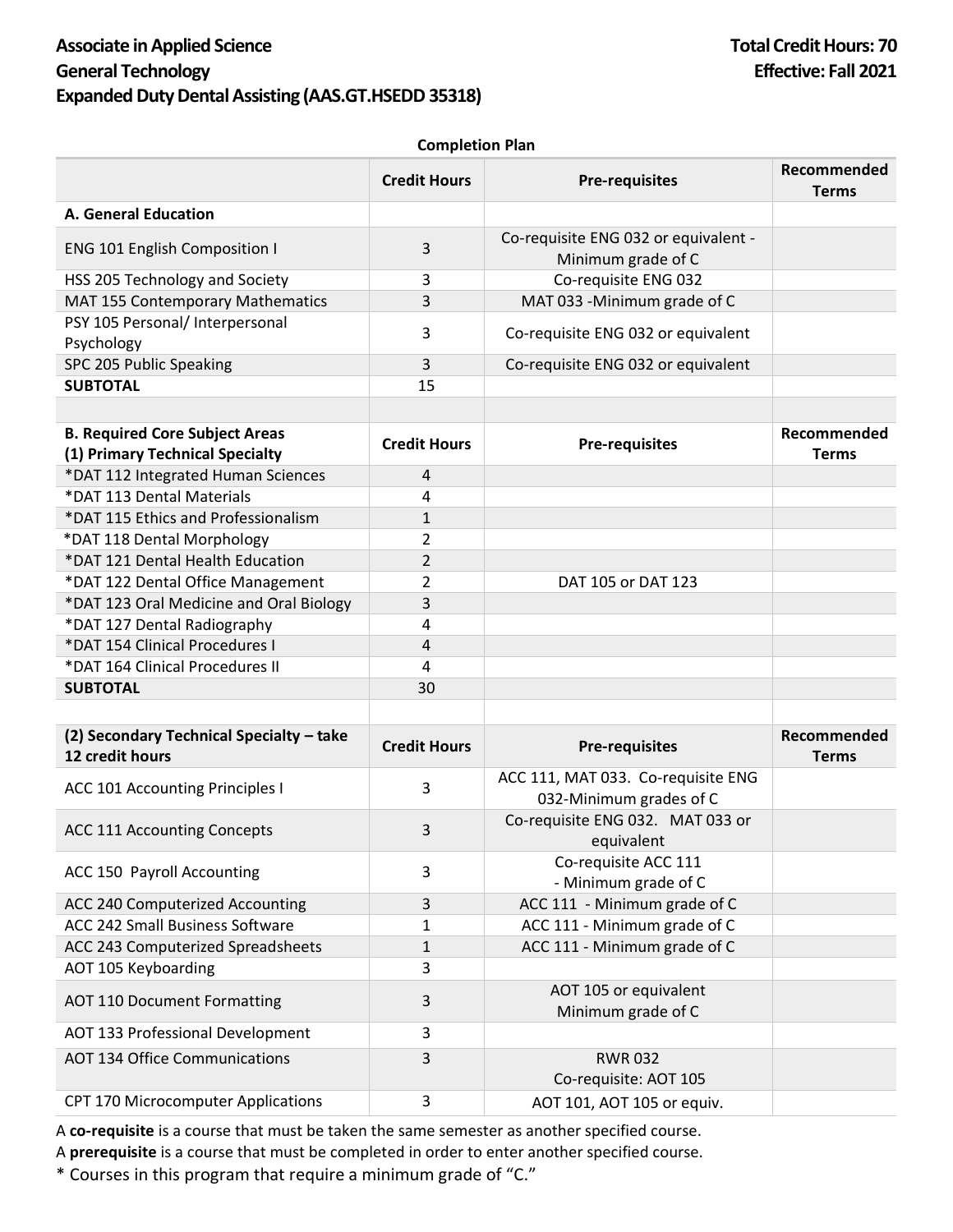## **Associate in Applied Science Total Credit Hours: 70 General Technology Effective: Fall 2021 Expanded Duty Dental Assisting (AAS.GT.HSEDD 35318)**

## **Completion Plan**

|                                                                          | <b>Credit Hours</b> | <b>Pre-requisites</b>                                         | Recommended<br><b>Terms</b> |
|--------------------------------------------------------------------------|---------------------|---------------------------------------------------------------|-----------------------------|
| <b>A. General Education</b>                                              |                     |                                                               |                             |
| <b>ENG 101 English Composition I</b>                                     | 3                   | Co-requisite ENG 032 or equivalent -<br>Minimum grade of C    |                             |
| HSS 205 Technology and Society                                           | 3                   | Co-requisite ENG 032                                          |                             |
| <b>MAT 155 Contemporary Mathematics</b>                                  | 3                   | MAT 033 - Minimum grade of C                                  |                             |
| PSY 105 Personal/ Interpersonal<br>Psychology                            | 3                   | Co-requisite ENG 032 or equivalent                            |                             |
| SPC 205 Public Speaking                                                  | 3                   | Co-requisite ENG 032 or equivalent                            |                             |
| <b>SUBTOTAL</b>                                                          | 15                  |                                                               |                             |
|                                                                          |                     |                                                               |                             |
| <b>B. Required Core Subject Areas</b><br>(1) Primary Technical Specialty | <b>Credit Hours</b> | <b>Pre-requisites</b>                                         | Recommended<br><b>Terms</b> |
| *DAT 112 Integrated Human Sciences                                       | 4                   |                                                               |                             |
| *DAT 113 Dental Materials                                                | 4                   |                                                               |                             |
| *DAT 115 Ethics and Professionalism                                      | $\mathbf{1}$        |                                                               |                             |
| *DAT 118 Dental Morphology                                               | 2                   |                                                               |                             |
| *DAT 121 Dental Health Education                                         | 2                   |                                                               |                             |
| *DAT 122 Dental Office Management                                        | 2                   | DAT 105 or DAT 123                                            |                             |
| *DAT 123 Oral Medicine and Oral Biology                                  | 3                   |                                                               |                             |
| *DAT 127 Dental Radiography                                              | 4                   |                                                               |                             |
| *DAT 154 Clinical Procedures I                                           | 4                   |                                                               |                             |
| *DAT 164 Clinical Procedures II                                          | 4                   |                                                               |                             |
| <b>SUBTOTAL</b>                                                          | 30                  |                                                               |                             |
|                                                                          |                     |                                                               |                             |
| (2) Secondary Technical Specialty - take<br>12 credit hours              | <b>Credit Hours</b> | <b>Pre-requisites</b>                                         | Recommended<br><b>Terms</b> |
| ACC 101 Accounting Principles I                                          | 3                   | ACC 111, MAT 033. Co-requisite ENG<br>032-Minimum grades of C |                             |
| <b>ACC 111 Accounting Concepts</b>                                       | 3                   | Co-requisite ENG 032. MAT 033 or<br>equivalent                |                             |
| ACC 150 Payroll Accounting                                               | 3                   | Co-requisite ACC 111<br>- Minimum grade of C                  |                             |
| ACC 240 Computerized Accounting                                          | 3                   | ACC 111 - Minimum grade of C                                  |                             |
| ACC 242 Small Business Software                                          | 1                   | ACC 111 - Minimum grade of C                                  |                             |
| ACC 243 Computerized Spreadsheets                                        | 1                   | ACC 111 - Minimum grade of C                                  |                             |
| AOT 105 Keyboarding                                                      | 3                   |                                                               |                             |
| <b>AOT 110 Document Formatting</b>                                       | 3                   | AOT 105 or equivalent<br>Minimum grade of C                   |                             |
| AOT 133 Professional Development                                         | 3                   |                                                               |                             |
| <b>AOT 134 Office Communications</b>                                     | 3                   | <b>RWR032</b><br>Co-requisite: AOT 105                        |                             |
| CPT 170 Microcomputer Applications                                       | 3                   | AOT 101, AOT 105 or equiv.                                    |                             |

A **co-requisite** is a course that must be taken the same semester as another specified course.

A **prerequisite** is a course that must be completed in order to enter another specified course.

\* Courses in this program that require a minimum grade of "C."